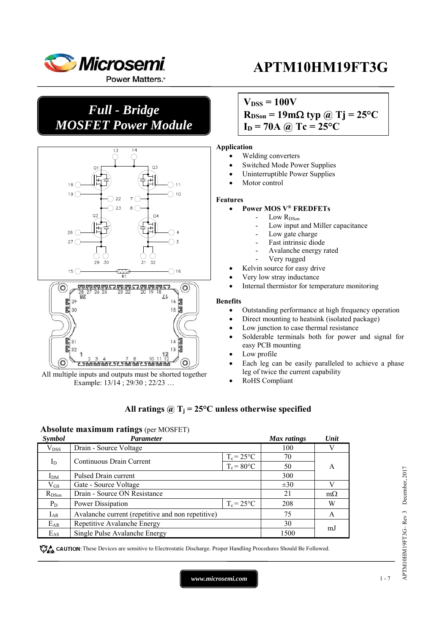

### *Full - Bridge MOSFET Power Module*



All multiple inputs and outputs must be shorted together Example: 13/14 ; 29/30 ; 22/23 …

## **APTM10HM19FT3G**

### $V_{DSS} = 100V$

 $R_{DSon} = 19 \text{m}\Omega \text{ typ } \textcircled{a}$  Tj = 25<sup>o</sup>C

 $I_D = 70A$  *(a)*  $Tc = 25^{\circ}C$ 

#### **Application**

- Welding converters
	- Switched Mode Power Supplies
	- Uninterruptible Power Supplies
- Motor control

#### **Features**

#### **Power MOS V® FREDFETs**

- Low R<sub>DSon</sub>
	- Low input and Miller capacitance
- Low gate charge
- Fast intrinsic diode
- Avalanche energy rated
- Very rugged
- Kelvin source for easy drive
- Very low stray inductance
- Internal thermistor for temperature monitoring

#### **Benefits**

- Outstanding performance at high frequency operation
- Direct mounting to heatsink (isolated package)
- Low junction to case thermal resistance
- Solderable terminals both for power and signal for easy PCB mounting
- Low profile
- Each leg can be easily paralleled to achieve a phase leg of twice the current capability
- RoHS Compliant

### All ratings  $\hat{\omega}$  T<sub>i</sub> = 25°C unless otherwise specified

### **Absolute maximum ratings** (per MOSFET)

| Symbol          | <b>Parameter</b>                                  |               | Max ratings | Unit           |  |
|-----------------|---------------------------------------------------|---------------|-------------|----------------|--|
| $\rm V_{DSS}$   | Drain - Source Voltage                            |               | 100         |                |  |
|                 | $T_c = 25$ °C<br>Continuous Drain Current         |               | 70          |                |  |
| $I_D$           |                                                   | $T_c = 80$ °C | 50          | A              |  |
| I <sub>DM</sub> | Pulsed Drain current                              |               | 300         |                |  |
| $\rm V_{GS}$    | Gate - Source Voltage                             |               | $\pm 30$    |                |  |
| $R_{DSon}$      | Drain - Source ON Resistance                      |               | 21          | $m\Omega$      |  |
| $P_D$           | $T_c = 25$ °C<br>Power Dissipation                |               | 208         | W              |  |
| $I_{AR}$        | Avalanche current (repetitive and non repetitive) |               | 75          | A              |  |
| $E_{AR}$        | Repetitive Avalanche Energy                       |               | 30          |                |  |
| $E_{AS}$        | Single Pulse Avalanche Energy                     |               | 1500        | <sub>m</sub> J |  |

These Devices are sensitive to Electrostatic Discharge. Proper Handling Procedures Should Be Followed.

APTM10HM19FT3G– Rev 3 December, 2017

APTM10HM19FT3G-Rev 3 December, 2017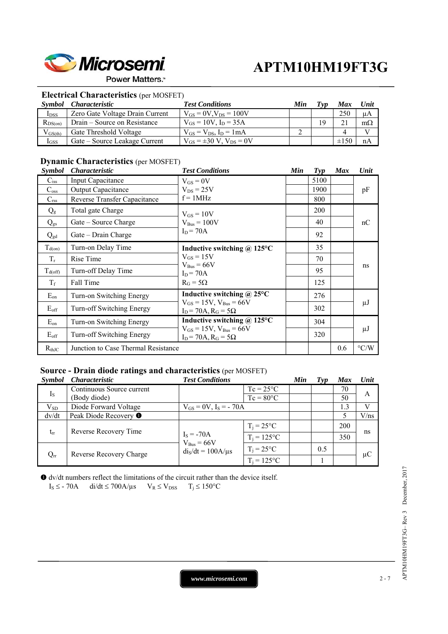

**Power Matters.** 

### **Electrical Characteristics** (per MOSFET)

| Symbol           | <i>Characteristic</i>           | <b>Test Conditions</b>              | Min | Tvn | <b>Max</b> | Unit      |
|------------------|---------------------------------|-------------------------------------|-----|-----|------------|-----------|
| I <sub>DSS</sub> | Zero Gate Voltage Drain Current | $V_{GS} = 0V$ , $V_{DS} = 100V$     |     |     | 250        | $\mu A$   |
| $R_{DS(on)}$     | Drain – Source on Resistance    | $V_{GS} = 10V$ , $I_D = 35A$        |     | 19  |            | $m\Omega$ |
| $V_{GS(th)}$     | Gate Threshold Voltage          | $V_{GS} = V_{DS}$ , $I_D = 1 mA$    |     |     |            |           |
| $I_{GSS}$        | Gate – Source Leakage Current   | $V_{GS} = \pm 30 V$ , $V_{DS} = 0V$ |     |     | $\pm 150$  | nA        |

### **Dynamic Characteristics** (per MOSFET)

| <i><b>Symbol</b></i> | <i>Characteristic</i>               | <b>Test Conditions</b>                                                                                    | Min | $\boldsymbol{Typ}$ | <b>Max</b> | Unit               |
|----------------------|-------------------------------------|-----------------------------------------------------------------------------------------------------------|-----|--------------------|------------|--------------------|
| $C_{iss}$            | Input Capacitance                   | $V_{GS} = 0V$                                                                                             |     | 5100               |            |                    |
| $C_{\rm oss}$        | Output Capacitance                  | $V_{DS} = 25V$                                                                                            |     | 1900               |            | pF                 |
| $C_{\rm rss}$        | Reverse Transfer Capacitance        | $f = 1$ MHz                                                                                               |     | 800                |            |                    |
| $Q_{g}$              | Total gate Charge                   | $V_{GS} = 10V$                                                                                            |     | 200                |            | nC                 |
| $Q_{gs}$             | Gate – Source Charge                | $V_{Bus} = 100V$                                                                                          |     | 40                 |            |                    |
| $Q_{gd}$             | $Gate - Drain Charge$               | $I_D = 70A$                                                                                               |     | 92                 |            |                    |
| $T_{d(on)}$          | Turn-on Delay Time                  | Inductive switching $\omega$ 125°C                                                                        |     | 35                 |            |                    |
| $T_r$                | Rise Time                           | $V_{GS} = 15V$                                                                                            |     | 70                 |            | ns                 |
| $T_{d(\text{off})}$  | Turn-off Delay Time                 | $V_{Bus} = 66V$<br>$I_D = 70A$<br>$R_G = 5\Omega$                                                         |     | 95                 |            |                    |
| $T_f$                | Fall Time                           |                                                                                                           |     | 125                |            |                    |
| $E_{on}$             | Turn-on Switching Energy            | Inductive switching $\omega$ 25°C                                                                         |     | 276                |            |                    |
| $E_{\rm off}$        | Turn-off Switching Energy           | $V_{GS} = 15V$ , $V_{Bus} = 66V$<br>$I_D$ = 70A, $R_G$ = 5 $\Omega$                                       |     | 302                |            | $\mu$ J            |
| $E_{on}$             | Turn-on Switching Energy            | Inductive switching $\omega$ 125°C<br>$V_{GS} = 15V$ , $V_{Bus} = 66V$<br>$I_D$ = 70A, $R_G$ = 5 $\Omega$ |     | 304                |            |                    |
| $E_{\rm off}$        | Turn-off Switching Energy           |                                                                                                           |     | 320                |            | $\mu$ J            |
| $R_{th,IC}$          | Junction to Case Thermal Resistance |                                                                                                           |     |                    | 0.6        | $\rm ^{\circ} C/W$ |

### **Source - Drain diode ratings and characteristics** (per MOSFET)

| <i>Symbol</i> | <i><b>Characteristic</b></i>     | <b>Test Conditions</b>       |                    | Min | Tvp | <b>Max</b> | Unit    |
|---------------|----------------------------------|------------------------------|--------------------|-----|-----|------------|---------|
| $I_{S}$       | Continuous Source current        |                              | $Tc = 25^{\circ}C$ |     |     | 70         |         |
|               | (Body diode)                     |                              | $Tc = 80^{\circ}C$ |     |     | 50         | А       |
| $V_{SD}$      | Diode Forward Voltage            | $V_{GS} = 0V$ , $I_S = -70A$ |                    |     |     | 1.3        |         |
| dv/dt         | Peak Diode Recovery <sup>O</sup> |                              |                    |     |     |            | V/ns    |
| $t_{rr}$      | Reverse Recovery Time            |                              | $T_i = 25$ °C      |     |     | 200        |         |
|               |                                  | $IS = -70A$<br>$VBus = 66V$  | $T_i = 125$ °C     |     |     | 350        | ns      |
| $Q_{rr}$      | Reverse Recovery Charge          | $diS/dt = 100A/\mu s$        | $T_i = 25$ °C      |     | 0.5 |            | $\mu$ C |
|               |                                  |                              | $T_i = 125$ °C     |     |     |            |         |

 dv/dt numbers reflect the limitations of the circuit rather than the device itself.  $I_S \leq$  - 70A di/dt  $\leq$  700A/ $\mu$ s  $V_R \leq V_{DSS}$   $T_j \leq 150^{\circ}C$ 

*www.microsemi.com* 2-7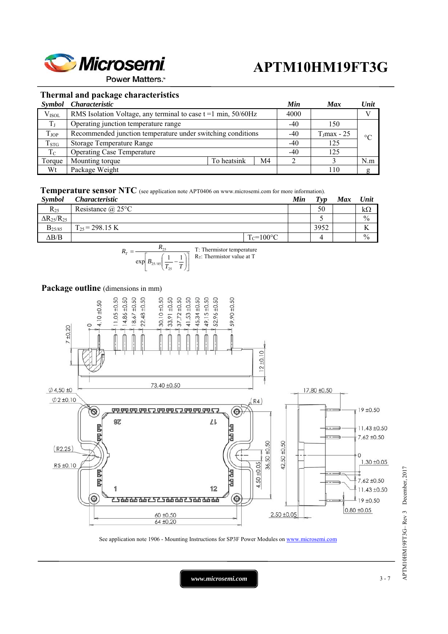

**Power Matters.**"

### **Thermal and package characteristics**

| Symbol            | <i>Characteristic</i>                                               |             |    |  | <b>Max</b>              | Unit            |
|-------------------|---------------------------------------------------------------------|-------------|----|--|-------------------------|-----------------|
| V <sub>ISOL</sub> | RMS Isolation Voltage, any terminal to case $t = 1$ min, $50/60$ Hz |             |    |  |                         | $\mathbf{V}$    |
| $T_J$             | Operating junction temperature range                                |             |    |  | 150                     |                 |
| TJOP              | Recommended junction temperature under switching conditions         |             |    |  | $T_{\text{J}}$ max - 25 | $\rm ^{\circ}C$ |
| $T_{STG}$         | <b>Storage Temperature Range</b>                                    |             |    |  | 125                     |                 |
| $T_{\rm C}$       | <b>Operating Case Temperature</b>                                   |             |    |  | 125                     |                 |
| Torque            | Mounting torque                                                     | To heatsink | M4 |  |                         | N.m             |
| Wt                | Package Weight                                                      |             |    |  | 110                     | g               |

**Temperature sensor NTC** (see application note APT0406 on www.microsemi.com for more information).

| <b>Symbol</b>          | <i>Characteristic</i>    |                | Min | Tvp  | Max | Unit          |
|------------------------|--------------------------|----------------|-----|------|-----|---------------|
| $R_{25}$               | Resistance $\omega$ 25°C |                |     | 50   |     | kΩ            |
| $\Delta R_{25}/R_{25}$ |                          |                |     |      |     | $\frac{0}{0}$ |
| $B_{25/85}$            | $T_{25}$ = 298.15 K      |                |     | 3952 |     | TZ<br>V       |
| $\Delta B/B$           |                          | $T_c = 100$ °C |     |      |     | $\frac{0}{0}$ |



#### Package outline (dimensions in mm)



See application note 1906 - Mounting Instructions for SP3F Power Modules on www.microsemi.com

APTM10HM19FT3G-Rev 3 December, 2017 APTM10HM19FT3G– Rev 3 December, 2017

*www.microsemi.com* 3-7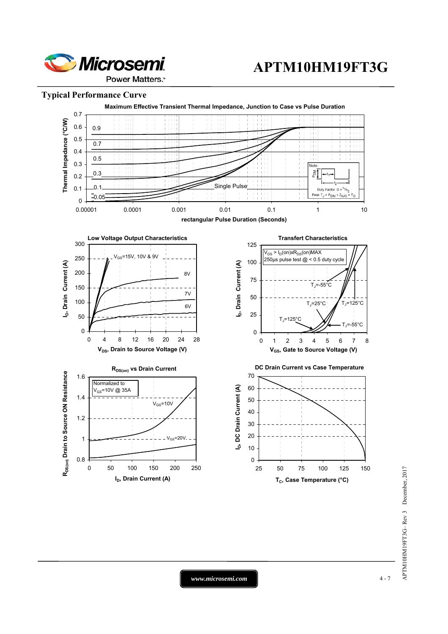

**Power Matters.** 

### **Typical Performance Curve**



*www.microsemi.com* 4-7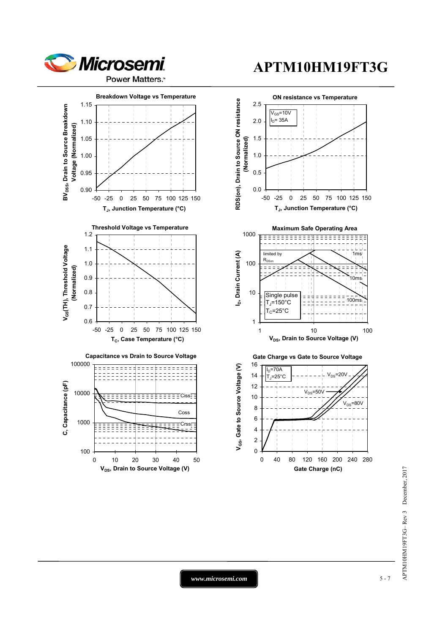

**Power Matters.** 

#### 1.15 **BV<sub>DSS</sub>, Drain to Source Breakdown** BV<sub>DSS</sub>, Drain to Source Breakdown 1.10 Voltage (Normalized) **Voltage (Normalized)** 1.05 1.00 0.95 0.90 -50 -25 0 25 50 75 100 125 150 **TJ, Junction Temperature (°C) Threshold Voltage vs Temperature** 1.2 V<sub>GS</sub>(TH), Threshold Voltage **VGS(TH), Threshold Voltage** 1.1 1.0 (Normalized) **(Normalized)** 0.9 0.8 0.7 0.6 -50 -25 0 25 50 75 100 125 150 T<sub>c</sub>, Case Temperature (°C)





# **APTM10HM19FT3G**

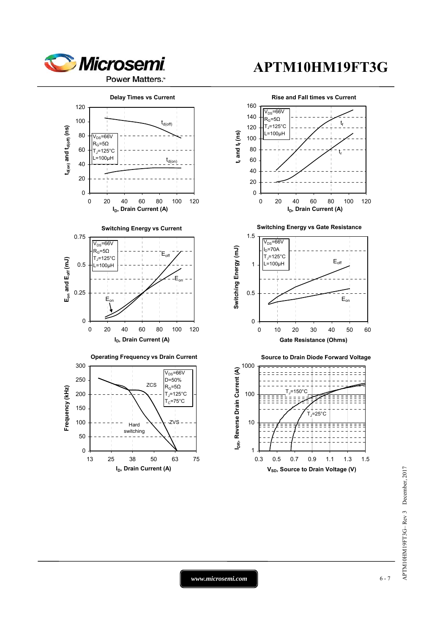

### **Power Matters.**

## **APTM10HM19FT3G**



APTM10HM19FT3G-Rev 3 December, 2017 APTM10HM19FT3G– Rev 3 December, 2017

*www.microsemi.com* 6-7